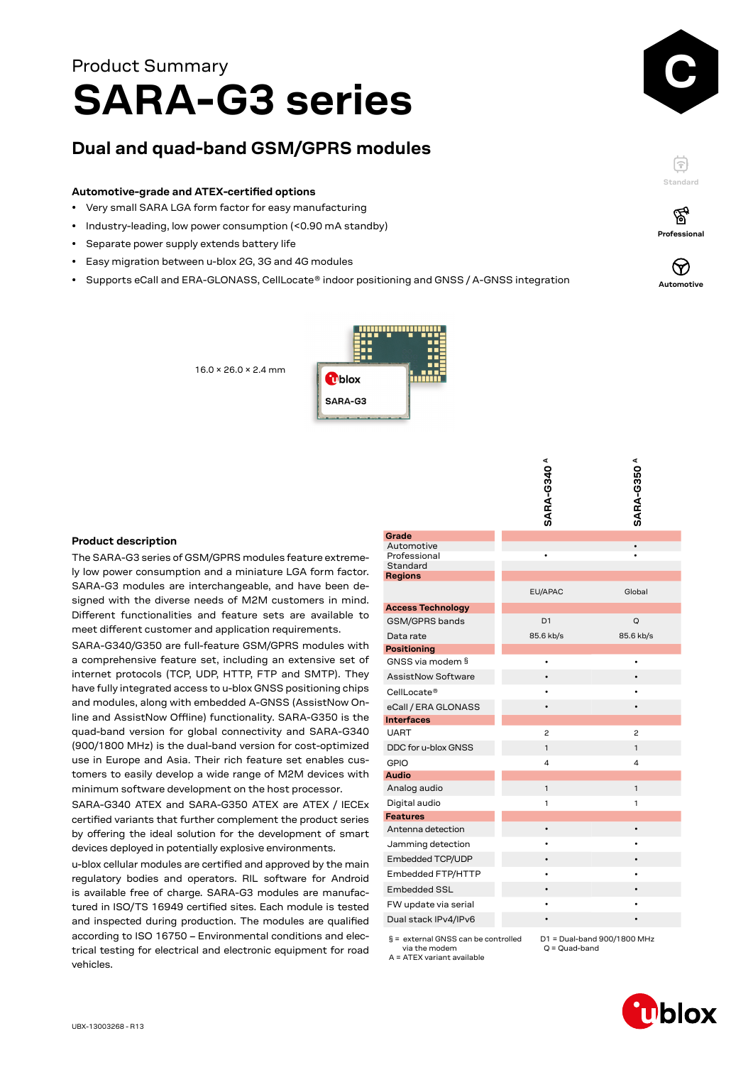## **<sup>C</sup> SARA-G3 series** Product Summary

### **Dual and quad-band GSM/GPRS modules**

#### **Automotive-grade and ATEX-certified options**

- Very small SARA LGA form factor for easy manufacturing
- Industry-leading, low power consumption (<0.90 mA standby)

16.0 × 26.0 × 2.4 mm

- Separate power supply extends battery life
- Easy migration between u-blox 2G, 3G and 4G modules
- Supports eCall and ERA-GLONASS, CellLocate® indoor positioning and GNSS / A-GNSS integration



F **Standard**

ଙ୍କ



**Automotive**

# mblox SARA-G3

#### **Product description**

The SARA-G3 series of GSM/GPRS modules feature extremely low power consumption and a miniature LGA form factor. SARA-G3 modules are interchangeable, and have been designed with the diverse needs of M2M customers in mind. Different functionalities and feature sets are available to meet different customer and application requirements.

SARA-G340/G350 are full-feature GSM/GPRS modules with a comprehensive feature set, including an extensive set of internet protocols (TCP, UDP, HTTP, FTP and SMTP). They have fully integrated access to u-blox GNSS positioning chips and modules, along with embedded A-GNSS (AssistNow Online and AssistNow Offline) functionality. SARA-G350 is the quad-band version for global connectivity and SARA-G340 (900/1800 MHz) is the dual-band version for cost-optimized use in Europe and Asia. Their rich feature set enables customers to easily develop a wide range of M2M devices with minimum software development on the host processor.

SARA-G340 ATEX and SARA-G350 ATEX are ATEX / IECEx certified variants that further complement the product series by offering the ideal solution for the development of smart devices deployed in potentially explosive environments.

u-blox cellular modules are certified and approved by the main regulatory bodies and operators. RIL software for Android is available free of charge. SARA-G3 modules are manufactured in ISO/TS 16949 certified sites. Each module is tested and inspected during production. The modules are qualified according to ISO 16750 – Environmental conditions and electrical testing for electrical and electronic equipment for road vehicles.

|                           | <b>SARA-G340<sup>A</sup></b> | <b>SARA-G350<sup>A</sup></b> |
|---------------------------|------------------------------|------------------------------|
|                           |                              |                              |
|                           |                              |                              |
|                           |                              |                              |
| Grade                     |                              |                              |
| Automotive                |                              |                              |
| Professional<br>Standard  |                              |                              |
| <b>Regions</b>            |                              |                              |
|                           | EU/APAC                      | Global                       |
| <b>Access Technology</b>  |                              |                              |
| GSM/GPRS bands            | D <sub>1</sub>               | Q                            |
| Data rate                 | 85.6 kb/s                    | 85.6 kb/s                    |
| <b>Positioning</b>        |                              |                              |
| GNSS via modem §          | ٠                            | ٠                            |
| <b>AssistNow Software</b> |                              |                              |
| CellLocate®               |                              |                              |
| eCall / ERA GLONASS       |                              |                              |
| <b>Interfaces</b>         |                              |                              |
| <b>UART</b>               | 2                            | 2                            |
| DDC for u-blox GNSS       | $\mathbf{1}$                 | $\mathbf{1}$                 |
| <b>GPIO</b>               | 4                            | 4                            |
| <b>Audio</b>              |                              |                              |
| Analog audio              | 1                            | $\mathbf{1}$                 |
| Digital audio             | 1                            | 1                            |
| <b>Features</b>           |                              |                              |
| Antenna detection         | $\bullet$                    | $\bullet$                    |
| Jamming detection         |                              |                              |
| Embedded TCP/UDP          |                              |                              |
| Embedded FTP/HTTP         |                              |                              |
| <b>Embedded SSL</b>       |                              |                              |
| FW update via serial      |                              |                              |
| Dual stack IPv4/IPv6      |                              |                              |
|                           |                              |                              |

 § = external GNSS can be controlled via the modem

A = ATEX variant available

D1 = Dual-band 900/1800 MHz Q = Quad-band